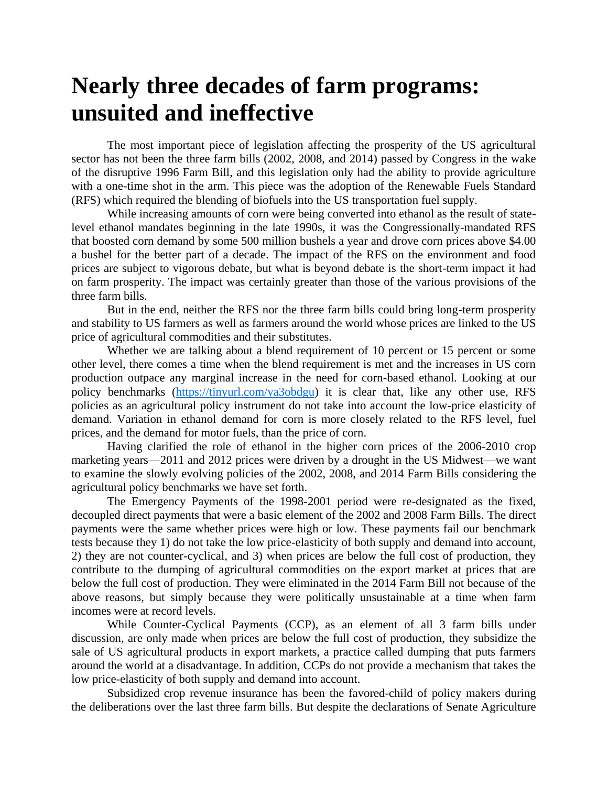## **Nearly three decades of farm programs: unsuited and ineffective**

The most important piece of legislation affecting the prosperity of the US agricultural sector has not been the three farm bills (2002, 2008, and 2014) passed by Congress in the wake of the disruptive 1996 Farm Bill, and this legislation only had the ability to provide agriculture with a one-time shot in the arm. This piece was the adoption of the Renewable Fuels Standard (RFS) which required the blending of biofuels into the US transportation fuel supply.

While increasing amounts of corn were being converted into ethanol as the result of statelevel ethanol mandates beginning in the late 1990s, it was the Congressionally-mandated RFS that boosted corn demand by some 500 million bushels a year and drove corn prices above \$4.00 a bushel for the better part of a decade. The impact of the RFS on the environment and food prices are subject to vigorous debate, but what is beyond debate is the short-term impact it had on farm prosperity. The impact was certainly greater than those of the various provisions of the three farm bills.

But in the end, neither the RFS nor the three farm bills could bring long-term prosperity and stability to US farmers as well as farmers around the world whose prices are linked to the US price of agricultural commodities and their substitutes.

Whether we are talking about a blend requirement of 10 percent or 15 percent or some other level, there comes a time when the blend requirement is met and the increases in US corn production outpace any marginal increase in the need for corn-based ethanol. Looking at our policy benchmarks [\(https://tinyurl.com/ya3obdgu\)](https://tinyurl.com/ya3obdgu) it is clear that, like any other use, RFS policies as an agricultural policy instrument do not take into account the low-price elasticity of demand. Variation in ethanol demand for corn is more closely related to the RFS level, fuel prices, and the demand for motor fuels, than the price of corn.

Having clarified the role of ethanol in the higher corn prices of the 2006-2010 crop marketing years—2011 and 2012 prices were driven by a drought in the US Midwest—we want to examine the slowly evolving policies of the 2002, 2008, and 2014 Farm Bills considering the agricultural policy benchmarks we have set forth.

The Emergency Payments of the 1998-2001 period were re-designated as the fixed, decoupled direct payments that were a basic element of the 2002 and 2008 Farm Bills. The direct payments were the same whether prices were high or low. These payments fail our benchmark tests because they 1) do not take the low price-elasticity of both supply and demand into account, 2) they are not counter-cyclical, and 3) when prices are below the full cost of production, they contribute to the dumping of agricultural commodities on the export market at prices that are below the full cost of production. They were eliminated in the 2014 Farm Bill not because of the above reasons, but simply because they were politically unsustainable at a time when farm incomes were at record levels.

While Counter-Cyclical Payments (CCP), as an element of all 3 farm bills under discussion, are only made when prices are below the full cost of production, they subsidize the sale of US agricultural products in export markets, a practice called dumping that puts farmers around the world at a disadvantage. In addition, CCPs do not provide a mechanism that takes the low price-elasticity of both supply and demand into account.

Subsidized crop revenue insurance has been the favored-child of policy makers during the deliberations over the last three farm bills. But despite the declarations of Senate Agriculture